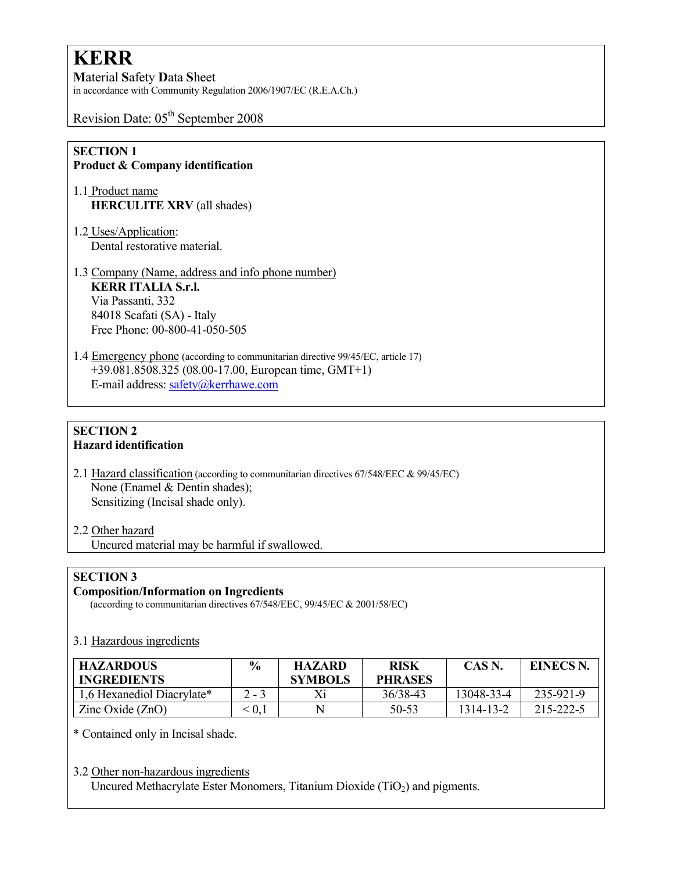# **KERR**

Material Safety Data Sheet in accordance with Community Regulation 2006/1907/EC (R.E.A.Ch.)

Revision Date: 05<sup>th</sup> September 2008

### SECTION 1 Product & Company identification

- 1.1 Product name HERCULITE XRV (all shades)
- 1.2 Uses/Application: Dental restorative material.
- 1.3 Company (Name, address and info phone number) KERR ITALIA S.r.l. Via Passanti, 332 84018 Scafati (SA) - Italy Free Phone: 00-800-41-050-505
- 1.4 Emergency phone (according to communitarian directive 99/45/EC, article 17) +39.081.8508.325 (08.00-17.00, European time, GMT+1) E-mail address: safety@kerrhawe.com

### SECTION 2 Hazard identification

- 2.1 Hazard classification (according to communitarian directives 67/548/EEC & 99/45/EC) None (Enamel & Dentin shades); Sensitizing (Incisal shade only).
- 2.2 Other hazard Uncured material may be harmful if swallowed.

# SECTION 3

# Composition/Information on Ingredients

(according to communitarian directives 67/548/EEC, 99/45/EC & 2001/58/EC)

# 3.1 Hazardous ingredients

| <b>HAZARDOUS</b><br><b>INGREDIENTS</b> | $\frac{6}{9}$ | <b>HAZARD</b><br><b>SYMBOLS</b> | <b>RISK</b><br><b>PHRASES</b> | CAS N.     | <b>EINECS N.</b> |
|----------------------------------------|---------------|---------------------------------|-------------------------------|------------|------------------|
| 1,6 Hexanediol Diacrylate*             | $2 - 3$       |                                 | 36/38-43                      | 13048-33-4 | 235-921-9        |
| Zinc Oxide $(ZnO)$                     | $\hat{0}$     |                                 | 50-53                         | 1314-13-2  | 215-222-5        |

\* Contained only in Incisal shade.

#### 3.2 Other non-hazardous ingredients

Uncured Methacrylate Ester Monomers, Titanium Dioxide  $(TiO<sub>2</sub>)$  and pigments.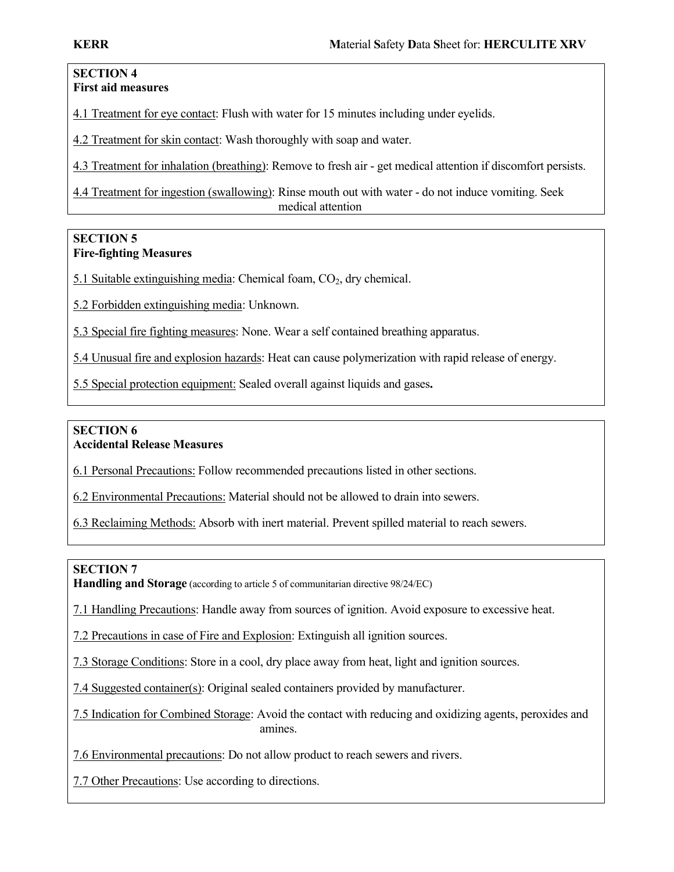#### SECTION 4 First aid measures

4.1 Treatment for eye contact: Flush with water for 15 minutes including under eyelids.

4.2 Treatment for skin contact: Wash thoroughly with soap and water.

4.3 Treatment for inhalation (breathing): Remove to fresh air - get medical attention if discomfort persists.

4.4 Treatment for ingestion (swallowing): Rinse mouth out with water - do not induce vomiting. Seek medical attention

## SECTION 5 Fire-fighting Measures

5.1 Suitable extinguishing media: Chemical foam,  $CO<sub>2</sub>$ , dry chemical.

5.2 Forbidden extinguishing media: Unknown.

5.3 Special fire fighting measures: None. Wear a self contained breathing apparatus.

5.4 Unusual fire and explosion hazards: Heat can cause polymerization with rapid release of energy.

5.5 Special protection equipment: Sealed overall against liquids and gases.

# SECTION 6 Accidental Release Measures

6.1 Personal Precautions: Follow recommended precautions listed in other sections.

6.2 Environmental Precautions: Material should not be allowed to drain into sewers.

6.3 Reclaiming Methods: Absorb with inert material. Prevent spilled material to reach sewers.

# SECTION 7

Handling and Storage (according to article 5 of communitarian directive 98/24/EC)

7.1 Handling Precautions: Handle away from sources of ignition. Avoid exposure to excessive heat.

7.2 Precautions in case of Fire and Explosion: Extinguish all ignition sources.

7.3 Storage Conditions: Store in a cool, dry place away from heat, light and ignition sources.

7.4 Suggested container(s): Original sealed containers provided by manufacturer.

7.5 Indication for Combined Storage: Avoid the contact with reducing and oxidizing agents, peroxides and amines.

7.6 Environmental precautions: Do not allow product to reach sewers and rivers.

7.7 Other Precautions: Use according to directions.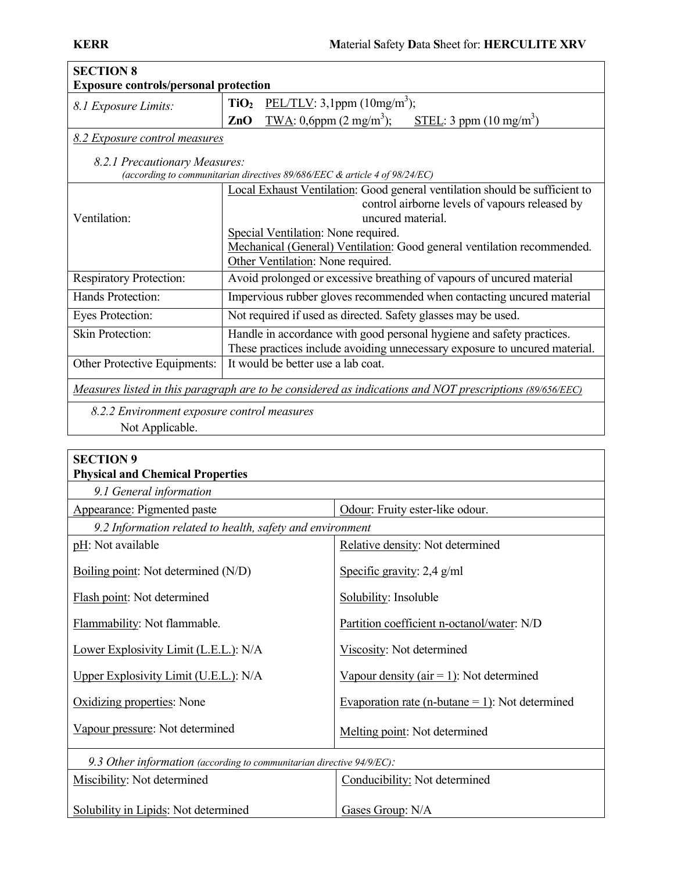| <b>SECTION 8</b>                                                                                         |                                                                                  |  |  |  |  |
|----------------------------------------------------------------------------------------------------------|----------------------------------------------------------------------------------|--|--|--|--|
| <b>Exposure controls/personal protection</b>                                                             |                                                                                  |  |  |  |  |
| 8.1 Exposure Limits:                                                                                     | PEL/TLV: 3,1ppm (10mg/m <sup>3</sup> );<br>TiO <sub>2</sub>                      |  |  |  |  |
|                                                                                                          | TWA: 0,6ppm $(2 \text{ mg/m}^3)$ ;<br>ZnO<br>STEL: 3 ppm (10 mg/m <sup>3</sup> ) |  |  |  |  |
| 8.2 Exposure control measures                                                                            |                                                                                  |  |  |  |  |
| 8.2.1 Precautionary Measures:                                                                            |                                                                                  |  |  |  |  |
| (according to communitarian directives 89/686/EEC & article 4 of 98/24/EC)                               |                                                                                  |  |  |  |  |
|                                                                                                          | Local Exhaust Ventilation: Good general ventilation should be sufficient to      |  |  |  |  |
|                                                                                                          | control airborne levels of vapours released by                                   |  |  |  |  |
| Ventilation:                                                                                             | uncured material.                                                                |  |  |  |  |
|                                                                                                          | Special Ventilation: None required.                                              |  |  |  |  |
|                                                                                                          | Mechanical (General) Ventilation: Good general ventilation recommended.          |  |  |  |  |
|                                                                                                          | Other Ventilation: None required.                                                |  |  |  |  |
| <b>Respiratory Protection:</b>                                                                           | Avoid prolonged or excessive breathing of vapours of uncured material            |  |  |  |  |
| Hands Protection:                                                                                        | Impervious rubber gloves recommended when contacting uncured material            |  |  |  |  |
| <b>Eyes Protection:</b>                                                                                  | Not required if used as directed. Safety glasses may be used.                    |  |  |  |  |
| Skin Protection:                                                                                         | Handle in accordance with good personal hygiene and safety practices.            |  |  |  |  |
|                                                                                                          | These practices include avoiding unnecessary exposure to uncured material.       |  |  |  |  |
| Other Protective Equipments:                                                                             | It would be better use a lab coat.                                               |  |  |  |  |
| Measures listed in this paragraph are to be considered as indications and NOT prescriptions (89/656/EEC) |                                                                                  |  |  |  |  |
| 8.2.2 Environment exposure control measures                                                              |                                                                                  |  |  |  |  |
| Not Applicable.                                                                                          |                                                                                  |  |  |  |  |
|                                                                                                          |                                                                                  |  |  |  |  |

| <b>SECTION 9</b>                                                         |                                                    |  |  |  |
|--------------------------------------------------------------------------|----------------------------------------------------|--|--|--|
| <b>Physical and Chemical Properties</b>                                  |                                                    |  |  |  |
| 9.1 General information                                                  |                                                    |  |  |  |
| Appearance: Pigmented paste                                              | Odour: Fruity ester-like odour.                    |  |  |  |
| 9.2 Information related to health, safety and environment                |                                                    |  |  |  |
| pH: Not available                                                        | Relative density: Not determined                   |  |  |  |
| Boiling point: Not determined $(N/D)$                                    | Specific gravity: $2,4$ g/ml                       |  |  |  |
| Flash point: Not determined                                              | Solubility: Insoluble                              |  |  |  |
| Flammability: Not flammable.                                             | Partition coefficient n-octanol/water: N/D         |  |  |  |
| Lower Explosivity Limit (L.E.L.): N/A                                    | Viscosity: Not determined                          |  |  |  |
| Upper Explosivity Limit (U.E.L.): N/A                                    | Vapour density ( $air = 1$ ): Not determined       |  |  |  |
| Oxidizing properties: None                                               | Evaporation rate (n-butane $= 1$ ): Not determined |  |  |  |
| Vapour pressure: Not determined                                          | Melting point: Not determined                      |  |  |  |
| 9.3 Other information (according to communitarian directive $94/9/EC$ ): |                                                    |  |  |  |
| <b>Miscibility:</b> Not determined                                       | Conducibility: Not determined                      |  |  |  |
| Solubility in Lipids: Not determined                                     | Gases Group: N/A                                   |  |  |  |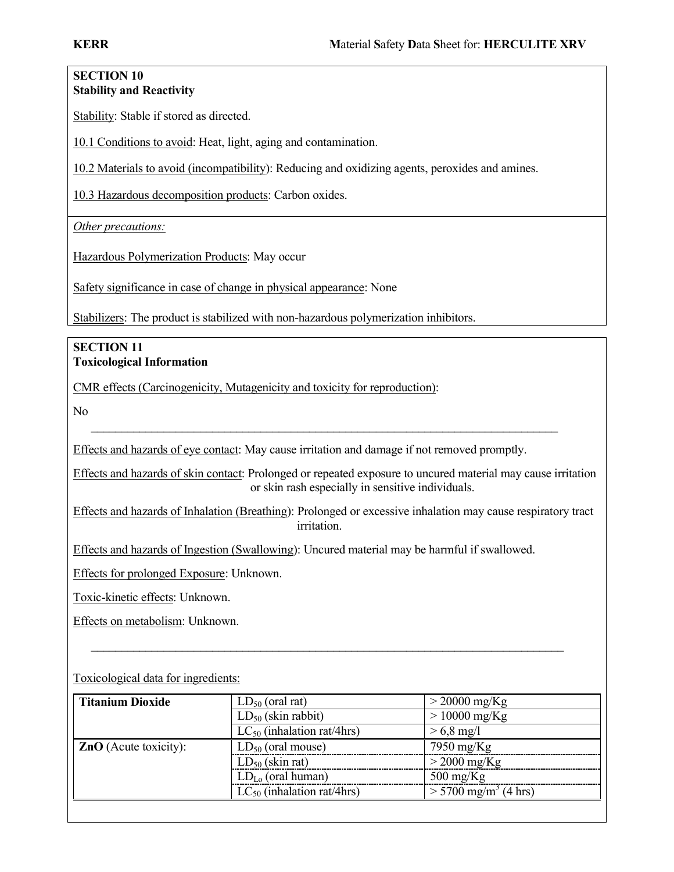#### SECTION 10 Stability and Reactivity

Stability: Stable if stored as directed.

10.1 Conditions to avoid: Heat, light, aging and contamination.

10.2 Materials to avoid (incompatibility): Reducing and oxidizing agents, peroxides and amines.

10.3 Hazardous decomposition products: Carbon oxides.

Other precautions:

Hazardous Polymerization Products: May occur

Safety significance in case of change in physical appearance: None

Stabilizers: The product is stabilized with non-hazardous polymerization inhibitors.

# SECTION 11 Toxicological Information

CMR effects (Carcinogenicity, Mutagenicity and toxicity for reproduction):

No

Effects and hazards of eye contact: May cause irritation and damage if not removed promptly.

\_\_\_\_\_\_\_\_\_\_\_\_\_\_\_\_\_\_\_\_\_\_\_\_\_\_\_\_\_\_\_\_\_\_\_\_\_\_\_\_\_\_\_\_\_\_\_\_\_\_\_\_\_\_\_\_\_\_\_\_\_\_\_\_\_\_\_\_\_\_\_\_\_\_\_\_\_

Effects and hazards of skin contact: Prolonged or repeated exposure to uncured material may cause irritation or skin rash especially in sensitive individuals.

Effects and hazards of Inhalation (Breathing): Prolonged or excessive inhalation may cause respiratory tract irritation.

Effects and hazards of Ingestion (Swallowing): Uncured material may be harmful if swallowed.

Effects for prolonged Exposure: Unknown.

Toxic-kinetic effects: Unknown.

Effects on metabolism: Unknown.

# **Titanium Dioxide**  $LD_{50}$  (oral rat)  $> 20000 \text{ mg/Kg}$  $LD_{50}$  (skin rabbit)  $> 10000$  mg/Kg  $LC_{50}$  (inhalation rat/4hrs)  $> 6.8$  mg/l **ZnO** (Acute toxicity):  $\qquad$  LD<sub>50</sub> (oral mouse) 7950 mg/Kg  $\frac{\text{LD}_{50} \text{ (skin rat)}}{\text{LD}_{10} \text{ (oral human)}}$  > 2000 mg/Kg<br> $\frac{\text{LD}_{10} \text{ (oral human)}}{\text{500 mg/Kg}}$  $LD<sub>Lo</sub>$  (oral human)  $LC_{50}$  (inhalation rat/4hrs)  $> 5700$  mg/m<sup>3</sup> (4 hrs)

\_\_\_\_\_\_\_\_\_\_\_\_\_\_\_\_\_\_\_\_\_\_\_\_\_\_\_\_\_\_\_\_\_\_\_\_\_\_\_\_\_\_\_\_\_\_\_\_\_\_\_\_\_\_\_\_\_\_\_\_\_\_\_\_\_\_\_\_\_\_\_\_\_\_\_\_\_\_

Toxicological data for ingredients: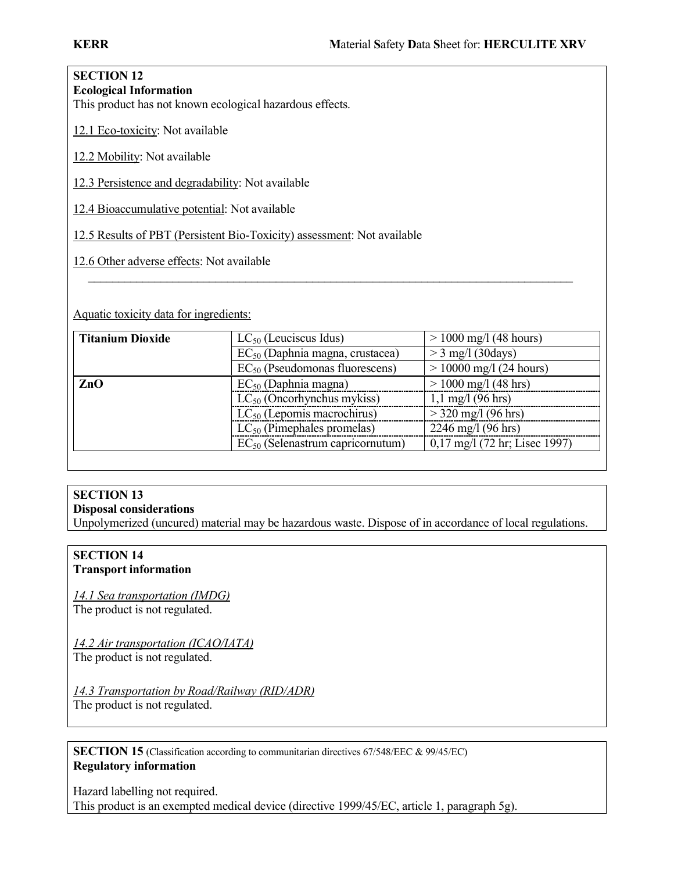#### SECTION 12 Ecological Information

This product has not known ecological hazardous effects.

12.1 Eco-toxicity: Not available

12.2 Mobility: Not available

12.3 Persistence and degradability: Not available

12.4 Bioaccumulative potential: Not available

12.5 Results of PBT (Persistent Bio-Toxicity) assessment: Not available

12.6 Other adverse effects: Not available

Aquatic toxicity data for ingredients:

| <b>Titanium Dioxide</b> | $LC_{50}$ (Leuciscus Idus)                  | $> 1000$ mg/l (48 hours)            |  |
|-------------------------|---------------------------------------------|-------------------------------------|--|
|                         | EC <sub>50</sub> (Daphnia magna, crustacea) | $>$ 3 mg/l (30 days)                |  |
|                         | $EC_{50}$ (Pseudomonas fluorescens)         | $> 10000$ mg/l (24 hours)           |  |
| ZnO                     | $EC_{50}$ (Daphnia magna)                   | $> 1000$ mg/l (48 hrs)              |  |
|                         | $LC_{50}$ (Oncorhynchus mykiss)             | $1,1 \text{ mg}/1 (96 \text{ hrs})$ |  |
|                         | $LC_{50}$ (Lepomis macrochirus)             | $>$ 320 mg/l (96 hrs)               |  |
|                         | $LC_{50}$ (Pimephales promelas)             | 2246 mg/l $(96 \text{ hrs})$        |  |
|                         | $EC_{50}$ (Selenastrum capricornutum)       | 0,17 mg/l (72 hr; Lisec 1997)       |  |

\_\_\_\_\_\_\_\_\_\_\_\_\_\_\_\_\_\_\_\_\_\_\_\_\_\_\_\_\_\_\_\_\_\_\_\_\_\_\_\_\_\_\_\_\_\_\_\_\_\_\_\_\_\_\_\_\_\_\_\_\_\_\_\_\_\_\_\_\_\_\_\_\_\_\_\_\_\_\_\_

# SECTION 13

# Disposal considerations

Unpolymerized (uncured) material may be hazardous waste. Dispose of in accordance of local regulations.

#### SECTION 14 Transport information

14.1 Sea transportation (IMDG) The product is not regulated.

14.2 Air transportation (ICAO/IATA) The product is not regulated.

14.3 Transportation by Road/Railway (RID/ADR) The product is not regulated.

SECTION 15 (Classification according to communitarian directives 67/548/EEC & 99/45/EC) Regulatory information

Hazard labelling not required. This product is an exempted medical device (directive 1999/45/EC, article 1, paragraph 5g).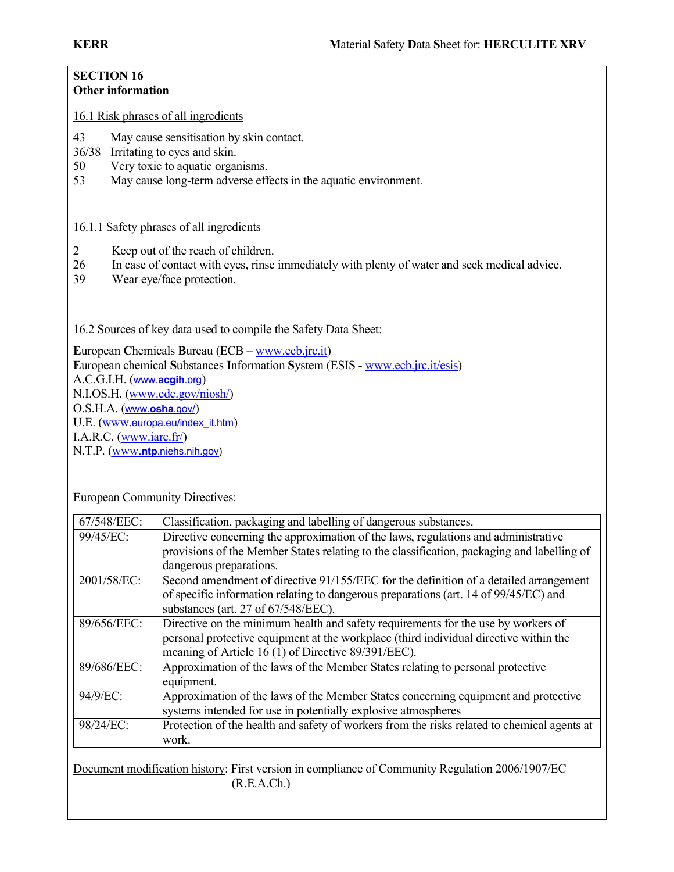#### SECTION 16 Other information

16.1 Risk phrases of all ingredients

- 43 May cause sensitisation by skin contact.
- 36/38 Irritating to eyes and skin.
- 50 Very toxic to aquatic organisms.
- 53 May cause long-term adverse effects in the aquatic environment.

# 16.1.1 Safety phrases of all ingredients

- 2 Keep out of the reach of children.
- 26 In case of contact with eyes, rinse immediately with plenty of water and seek medical advice.<br>39 Wear eve/face protection.
- Wear eye/face protection.

16.2 Sources of key data used to compile the Safety Data Sheet:

European Chemicals Bureau (ECB – www.ecb.jrc.it) European chemical Substances Information System (ESIS - www.ecb.jrc.it/esis) A.C.G.I.H. (www.acgih.org) N.I.OS.H. (www.cdc.gov/niosh/) O.S.H.A. (www.osha.gov/) U.E. (www.europa.eu/index\_it.htm) I.A.R.C. (www.iarc.fr/) N.T.P. (www.ntp.niehs.nih.gov)

European Community Directives:

| 67/548/EEC: | Classification, packaging and labelling of dangerous substances.                                |
|-------------|-------------------------------------------------------------------------------------------------|
| 99/45/EC:   | Directive concerning the approximation of the laws, regulations and administrative              |
|             | provisions of the Member States relating to the classification, packaging and labelling of      |
|             | dangerous preparations.                                                                         |
| 2001/58/EC: | Second amendment of directive 91/155/EEC for the definition of a detailed arrangement           |
|             | of specific information relating to dangerous preparations (art. 14 of 99/45/EC) and            |
|             | substances (art. 27 of 67/548/EEC).                                                             |
| 89/656/EEC: | Directive on the minimum health and safety requirements for the use by workers of               |
|             | personal protective equipment at the workplace (third individual directive within the           |
|             | meaning of Article 16 (1) of Directive 89/391/EEC).                                             |
| 89/686/EEC: | Approximation of the laws of the Member States relating to personal protective                  |
|             | equipment.                                                                                      |
| 94/9/EC:    | Approximation of the laws of the Member States concerning equipment and protective              |
|             | systems intended for use in potentially explosive atmospheres                                   |
| 98/24/EC:   | Protection of the health and safety of workers from the risks related to chemical agents at     |
|             | work.                                                                                           |
|             |                                                                                                 |
|             | Document modification history: First version in compliance of Community Regulation 2006/1907/FC |

Document modification history: First version in compliance of Community Regulation 2006/1907/EC (R.E.A.Ch.)